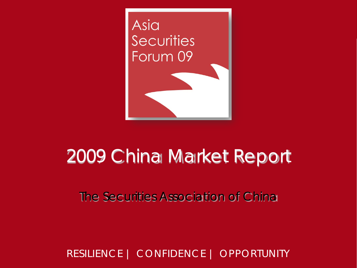

# 2009 China Market Report

The Securities Association of China

RESILIENCE | CONFIDENCE | OPPORTUNITY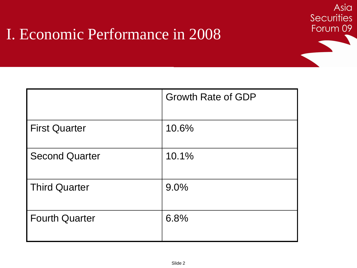|                       | <b>Growth Rate of GDP</b> |
|-----------------------|---------------------------|
| <b>First Quarter</b>  | 10.6%                     |
| <b>Second Quarter</b> | 10.1%                     |
| <b>Third Quarter</b>  | 9.0%                      |
| <b>Fourth Quarter</b> | 6.8%                      |

Asia

**Securities**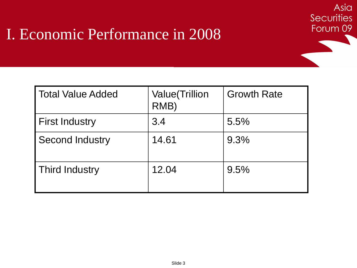| <b>Total Value Added</b> | <b>Value</b> (Trillion<br>RMB) | <b>Growth Rate</b> |
|--------------------------|--------------------------------|--------------------|
| <b>First Industry</b>    | 3.4                            | 5.5%               |
| <b>Second Industry</b>   | 14.61                          | 9.3%               |
| <b>Third Industry</b>    | 12.04                          | 9.5%               |

Asia

**Securities**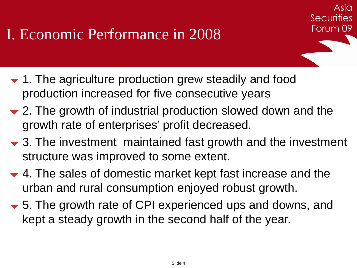- $\blacktriangleright$  1. The agriculture production grew steadily and food production increased for five consecutive years
- $\div$  **2.** The growth of industrial production slowed down and the growth rate of enterprises' profit decreased.
- $\blacktriangleright$  3. The investment maintained fast growth and the investment structure was improved to some extent.

Asia

**Securities** 

- ▼ 4. The sales of domestic market kept fast increase and the urban and rural consumption enjoyed robust growth.
- 5. The growth rate of CPI experienced ups and downs, and kept a steady growth in the second half of the year.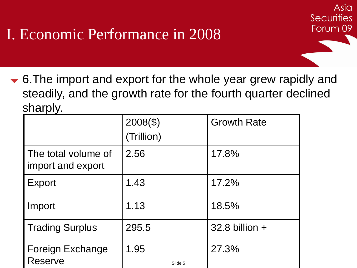**► 6.The import and export for the whole year grew rapidly and** steadily, and the growth rate for the fourth quarter declined sharply.

Asia

**Securities** 

|                                           | $2008(\$)$      | <b>Growth Rate</b> |
|-------------------------------------------|-----------------|--------------------|
|                                           | (Trillion)      |                    |
| The total volume of<br>import and export  | 2.56            | 17.8%              |
| <b>Export</b>                             | 1.43            | 17.2%              |
| Import                                    | 1.13            | 18.5%              |
| <b>Trading Surplus</b>                    | 295.5           | $32.8$ billion $+$ |
| <b>Foreign Exchange</b><br><b>Reserve</b> | 1.95<br>Slide 5 | 27.3%              |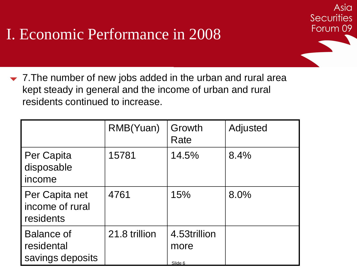$\blacktriangleright$  7. The number of new jobs added in the urban and rural area kept steady in general and the income of urban and rural residents continued to increase.

Asia

**Securities** 

|                                                     | RMB(Yuan)     | Growth<br>Rate                  | Adjusted |
|-----------------------------------------------------|---------------|---------------------------------|----------|
| Per Capita<br>disposable<br>income                  | 15781         | 14.5%                           | 8.4%     |
| Per Capita net<br>income of rural<br>residents      | 4761          | 15%                             | 8.0%     |
| <b>Balance of</b><br>residental<br>savings deposits | 21.8 trillion | 4.53trillion<br>more<br>Slide 6 |          |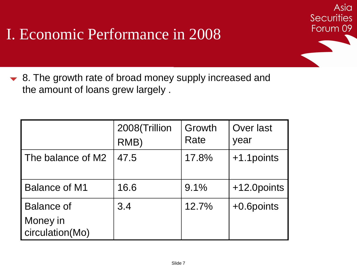▼ 8. The growth rate of broad money supply increased and the amount of loans grew largely .

|                                                  | 2008(Trillion<br>RMB) | Growth<br>Rate | Over last<br>year |
|--------------------------------------------------|-----------------------|----------------|-------------------|
| The balance of M2                                | 47.5                  | 17.8%          | +1.1 points       |
| <b>Balance of M1</b>                             | 16.6                  | 9.1%           | +12.0points       |
| <b>Balance of</b><br>Money in<br>circulation(Mo) | 3.4                   | 12.7%          | +0.6points        |

Asia

**Securities**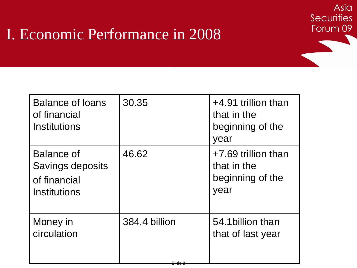| 30.35         | +4.91 trillion than<br>that in the<br>beginning of the<br>year |
|---------------|----------------------------------------------------------------|
| 46.62         | +7.69 trillion than<br>that in the<br>beginning of the<br>year |
| 384.4 billion | 54.1 billion than<br>that of last year                         |
|               |                                                                |

Asia

**Securities** 

Forum 09

Slide 8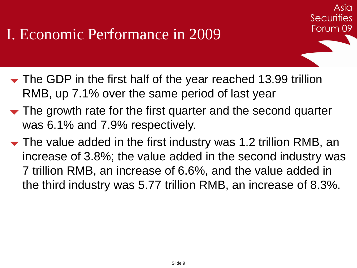$\blacktriangleright$  The GDP in the first half of the year reached 13.99 trillion RMB, up 7.1% over the same period of last year

Asia

**Securities** 

- The growth rate for the first quarter and the second quarter was 6.1% and 7.9% respectively.
- $\blacktriangleright$  The value added in the first industry was 1.2 trillion RMB, an increase of 3.8%; the value added in the second industry was 7 trillion RMB, an increase of 6.6%, and the value added in the third industry was 5.77 trillion RMB, an increase of 8.3%.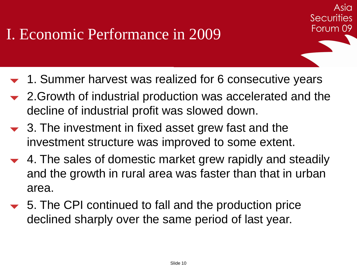**► 1. Summer harvest was realized for 6 consecutive years** 

Asia

**Securities** 

- 2.Growth of industrial production was accelerated and the decline of industrial profit was slowed down.
- $\rightarrow$  3. The investment in fixed asset grew fast and the investment structure was improved to some extent.
- 4. The sales of domestic market grew rapidly and steadily and the growth in rural area was faster than that in urban area.
- **►** 5. The CPI continued to fall and the production price declined sharply over the same period of last year.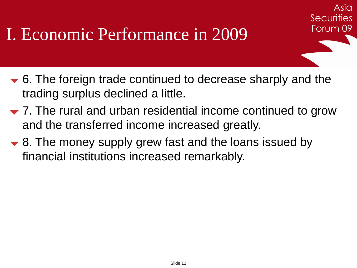6. The foreign trade continued to decrease sharply and the trading surplus declined a little.

Asia

**Securities** 

- $\blacktriangledown$  7. The rural and urban residential income continued to grow and the transferred income increased greatly.
- $\blacktriangleright$  8. The money supply grew fast and the loans issued by financial institutions increased remarkably.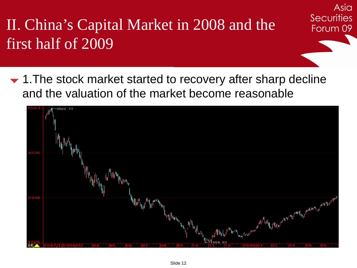II. China's Capital Market in 2008 and the first half of 2009

• 1. The stock market started to recovery after sharp decline and the valuation of the market become reasonable

Asia

**Securities** 

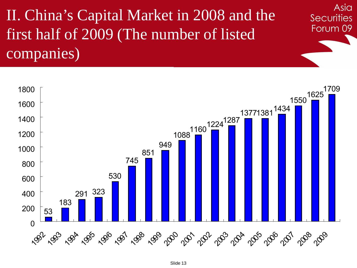II. China's Capital Market in 2008 and the first half of 2009 (The number of listed companies)



Asia

**Securities**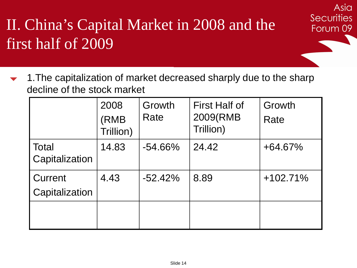## II. China's Capital Market in 2008 and the first half of 2009

 1.The capitalization of market decreased sharply due to the sharp decline of the stock market

Asia

**Securities** 

|                           | 2008<br>(RMB<br>Trillion) | Growth<br>Rate | <b>First Half of</b><br>2009(RMB<br>Trillion) | Growth<br>Rate |
|---------------------------|---------------------------|----------------|-----------------------------------------------|----------------|
| Total<br>Capitalization   | 14.83                     | $-54.66\%$     | 24.42                                         | $+64.67%$      |
| Current<br>Capitalization | 4.43                      | $-52.42%$      | 8.89                                          | $+102.71%$     |
|                           |                           |                |                                               |                |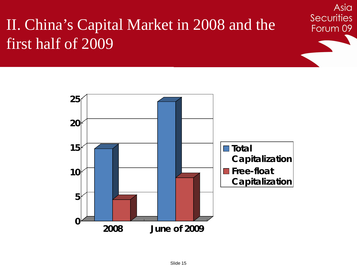### II. China's Capital Market in 2008 and the first half of 2009



Asia

**Securities**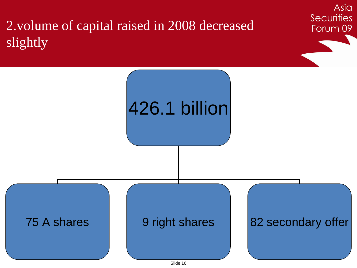2.volume of capital raised in 2008 decreased slightly



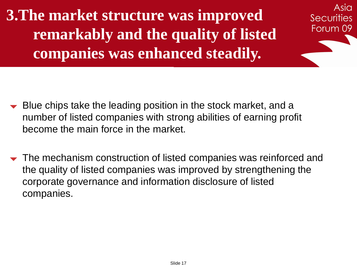**3.The market structure was improved remarkably and the quality of listed companies was enhanced steadily.**

Asia

**Securities** 

- Blue chips take the leading position in the stock market, and a number of listed companies with strong abilities of earning profit become the main force in the market.
- $\blacktriangleright$  The mechanism construction of listed companies was reinforced and the quality of listed companies was improved by strengthening the corporate governance and information disclosure of listed companies.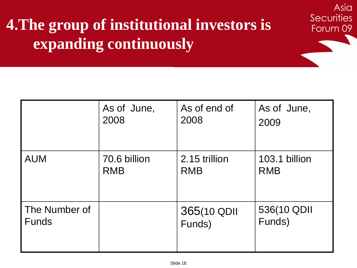## **4.The group of institutional investors is expanding continuously**

|               | As of June,  | As of end of  | As of June,   |
|---------------|--------------|---------------|---------------|
|               | 2008         | 2008          | 2009          |
| <b>AUM</b>    | 70.6 billion | 2.15 trillion | 103.1 billion |
|               | <b>RMB</b>   | <b>RMB</b>    | <b>RMB</b>    |
| The Number of |              | 365(10 QDII   | 536(10 QDII   |
| <b>Funds</b>  |              | Funds)        | Funds)        |

Asia

**Securities**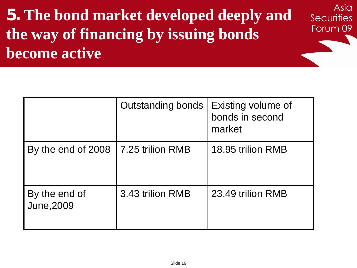## **5. The bond market developed deeply and the way of financing by issuing bonds become active**

Asia

**Securities** 

|                                    | Outstanding bonds | Existing volume of<br>bonds in second<br>market |
|------------------------------------|-------------------|-------------------------------------------------|
| By the end of 2008                 | 7.25 trilion RMB  | 18.95 trilion RMB                               |
| By the end of<br><b>June, 2009</b> | 3.43 trilion RMB  | 23.49 trilion RMB                               |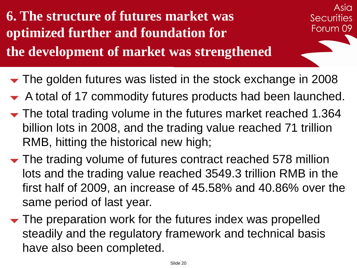**6. The structure of futures market was optimized further and foundation for the development of market was strengthened**

Asia **Securities** Forum 09

- The golden futures was listed in the stock exchange in 2008
- A total of 17 commodity futures products had been launched.
- The total trading volume in the futures market reached 1.364 billion lots in 2008, and the trading value reached 71 trillion RMB, hitting the historical new high;
- The trading volume of futures contract reached 578 million lots and the trading value reached 3549.3 trillion RMB in the first half of 2009, an increase of 45.58% and 40.86% over the same period of last year.
- $\blacktriangleright$  The preparation work for the futures index was propelled steadily and the regulatory framework and technical basis have also been completed.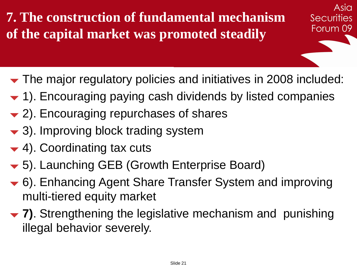**7. The construction of fundamental mechanism of the capital market was promoted steadily**

The major regulatory policies and initiatives in 2008 included:

Asia

**Securities** 

- 1). Encouraging paying cash dividends by listed companies
- 2). Encouraging repurchases of shares
- 3). Improving block trading system
- $\blacktriangleright$  4). Coordinating tax cuts
- **▼** 5). Launching GEB (Growth Enterprise Board)
- 6). Enhancing Agent Share Transfer System and improving multi-tiered equity market
- **7)**. Strengthening the legislative mechanism and punishing illegal behavior severely.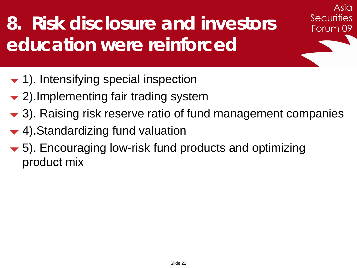# **8. Risk disclosure and investors education were reinforced**

- $\blacktriangleright$  1). Intensifying special inspection
- 2). Implementing fair trading system
- $\blacktriangleright$  3). Raising risk reserve ratio of fund management companies

Asia

**Securities** 

- **▼ 4). Standardizing fund valuation**
- 5). Encouraging low-risk fund products and optimizing product mix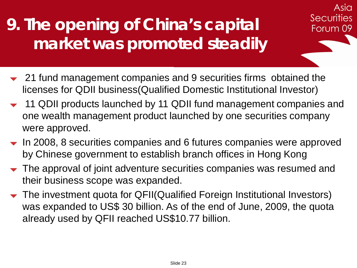## **9. The opening of China's capital market was promoted steadily**

- $\sim$  21 fund management companies and 9 securities firms obtained the licenses for QDII business(Qualified Domestic Institutional Investor)
- 11 QDII products launched by 11 QDII fund management companies and one wealth management product launched by one securities company were approved.

Asia

**Securities** 

- $\blacktriangleright$  In 2008, 8 securities companies and 6 futures companies were approved by Chinese government to establish branch offices in Hong Kong
- The approval of joint adventure securities companies was resumed and their business scope was expanded.
- The investment quota for QFII(Qualified Foreign Institutional Investors) was expanded to US\$ 30 billion. As of the end of June, 2009, the quota already used by QFII reached US\$10.77 billion.